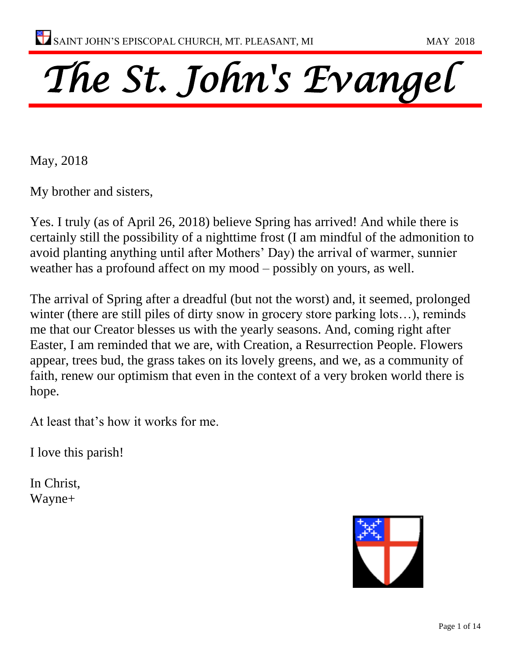# *The St. John's Evangel*

May, 2018

My brother and sisters,

Yes. I truly (as of April 26, 2018) believe Spring has arrived! And while there is certainly still the possibility of a nighttime frost (I am mindful of the admonition to avoid planting anything until after Mothers' Day) the arrival of warmer, sunnier weather has a profound affect on my mood – possibly on yours, as well.

The arrival of Spring after a dreadful (but not the worst) and, it seemed, prolonged winter (there are still piles of dirty snow in grocery store parking lots…), reminds me that our Creator blesses us with the yearly seasons. And, coming right after Easter, I am reminded that we are, with Creation, a Resurrection People. Flowers appear, trees bud, the grass takes on its lovely greens, and we, as a community of faith, renew our optimism that even in the context of a very broken world there is hope.

At least that's how it works for me.

I love this parish!

In Christ, Wayne+

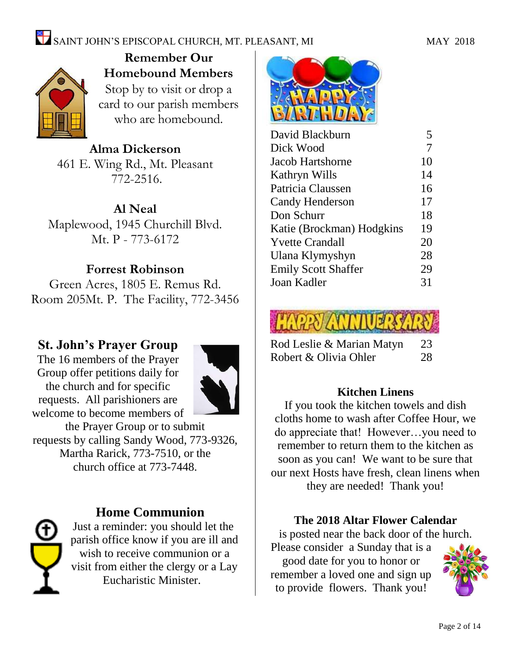

**Remember Our Homebound Members** Stop by to visit or drop a card to our parish members who are homebound.

**Alma Dickerson** 461 E. Wing Rd., Mt. Pleasant 772-2516.

**Al Neal** Maplewood, 1945 Churchill Blvd. Mt. P - 773-6172

### **Forrest Robinson**

Green Acres, 1805 E. Remus Rd. Room 205Mt. P. The Facility, 772-3456

### **St. John's Prayer Group**

The 16 members of the Prayer Group offer petitions daily for the church and for specific requests. All parishioners are welcome to become members of



the Prayer Group or to submit requests by calling Sandy Wood, 773-9326, Martha Rarick, 773-7510, or the church office at 773-7448.



### **Home Communion**

Just a reminder: you should let the parish office know if you are ill and wish to receive communion or a visit from either the clergy or a Lay Eucharistic Minister.



| David Blackburn            | 5  |
|----------------------------|----|
| Dick Wood                  | 7  |
| Jacob Hartshorne           | 10 |
| Kathryn Wills              | 14 |
| Patricia Claussen          | 16 |
| <b>Candy Henderson</b>     | 17 |
| Don Schurr                 | 18 |
| Katie (Brockman) Hodgkins  | 19 |
| <b>Yvette Crandall</b>     | 20 |
| Ulana Klymyshyn            | 28 |
| <b>Emily Scott Shaffer</b> | 29 |
| Joan Kadler                | 31 |
|                            |    |



| Rod Leslie & Marian Matyn | 23 |
|---------------------------|----|
| Robert & Olivia Ohler     | 28 |

### **Kitchen Linens**

If you took the kitchen towels and dish cloths home to wash after Coffee Hour, we do appreciate that! However…you need to remember to return them to the kitchen as soon as you can! We want to be sure that our next Hosts have fresh, clean linens when they are needed! Thank you!

**The 2018 Altar Flower Calendar**

is posted near the back door of the hurch.

Please consider a Sunday that is a good date for you to honor or remember a loved one and sign up to provide flowers. Thank you!

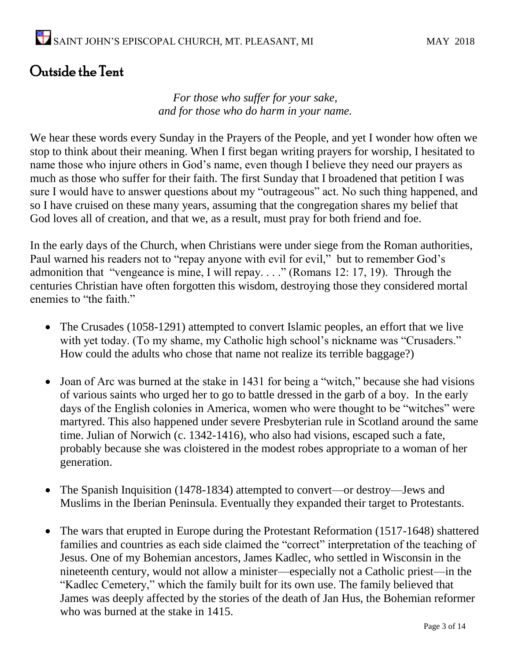### Outside the Tent

*For those who suffer for your sake, and for those who do harm in your name.*

We hear these words every Sunday in the Prayers of the People, and yet I wonder how often we stop to think about their meaning. When I first began writing prayers for worship, I hesitated to name those who injure others in God's name, even though I believe they need our prayers as much as those who suffer for their faith. The first Sunday that I broadened that petition I was sure I would have to answer questions about my "outrageous" act. No such thing happened, and so I have cruised on these many years, assuming that the congregation shares my belief that God loves all of creation, and that we, as a result, must pray for both friend and foe.

In the early days of the Church, when Christians were under siege from the Roman authorities, Paul warned his readers not to "repay anyone with evil for evil," but to remember God's admonition that "vengeance is mine, I will repay. . . ." (Romans 12: 17, 19). Through the centuries Christian have often forgotten this wisdom, destroying those they considered mortal enemies to "the faith."

- The Crusades (1058-1291) attempted to convert Islamic peoples, an effort that we live with yet today. (To my shame, my Catholic high school's nickname was "Crusaders." How could the adults who chose that name not realize its terrible baggage?)
- Joan of Arc was burned at the stake in 1431 for being a "witch," because she had visions of various saints who urged her to go to battle dressed in the garb of a boy. In the early days of the English colonies in America, women who were thought to be "witches" were martyred. This also happened under severe Presbyterian rule in Scotland around the same time. Julian of Norwich (c. 1342-1416), who also had visions, escaped such a fate, probably because she was cloistered in the modest robes appropriate to a woman of her generation.
- The Spanish Inquisition (1478-1834) attempted to convert—or destroy—Jews and Muslims in the Iberian Peninsula. Eventually they expanded their target to Protestants.
- The wars that erupted in Europe during the Protestant Reformation (1517-1648) shattered families and countries as each side claimed the "correct" interpretation of the teaching of Jesus. One of my Bohemian ancestors, James Kadlec, who settled in Wisconsin in the nineteenth century, would not allow a minister—especially not a Catholic priest—in the "Kadlec Cemetery," which the family built for its own use. The family believed that James was deeply affected by the stories of the death of Jan Hus, the Bohemian reformer who was burned at the stake in 1415.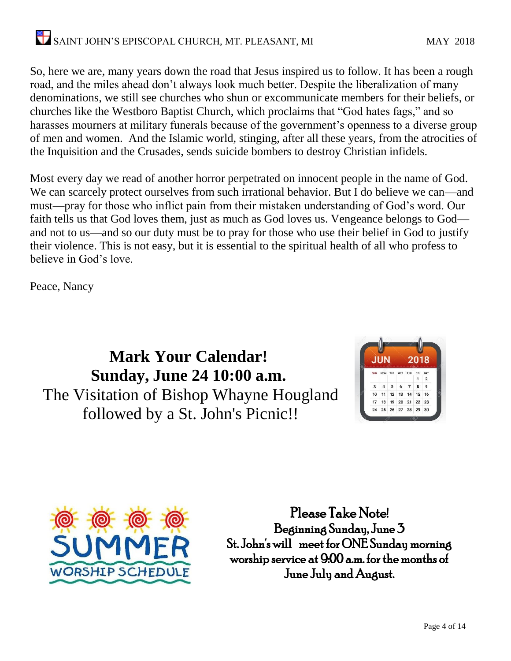So, here we are, many years down the road that Jesus inspired us to follow. It has been a rough road, and the miles ahead don't always look much better. Despite the liberalization of many denominations, we still see churches who shun or excommunicate members for their beliefs, or churches like the Westboro Baptist Church, which proclaims that "God hates fags," and so harasses mourners at military funerals because of the government's openness to a diverse group of men and women. And the Islamic world, stinging, after all these years, from the atrocities of the Inquisition and the Crusades, sends suicide bombers to destroy Christian infidels.

Most every day we read of another horror perpetrated on innocent people in the name of God. We can scarcely protect ourselves from such irrational behavior. But I do believe we can—and must—pray for those who inflict pain from their mistaken understanding of God's word. Our faith tells us that God loves them, just as much as God loves us. Vengeance belongs to God and not to us—and so our duty must be to pray for those who use their belief in God to justify their violence. This is not easy, but it is essential to the spiritual health of all who profess to believe in God's love.

Peace, Nancy

**Mark Your Calendar! Sunday, June 24 10:00 a.m.** The Visitation of Bishop Whayne Hougland followed by a St. John's Picnic!!





Please Take Note! Beginning Sunday, June 3 St. John's will meet for ONE Sunday morning worship service at 9:00 a.m. for the months of June July and August.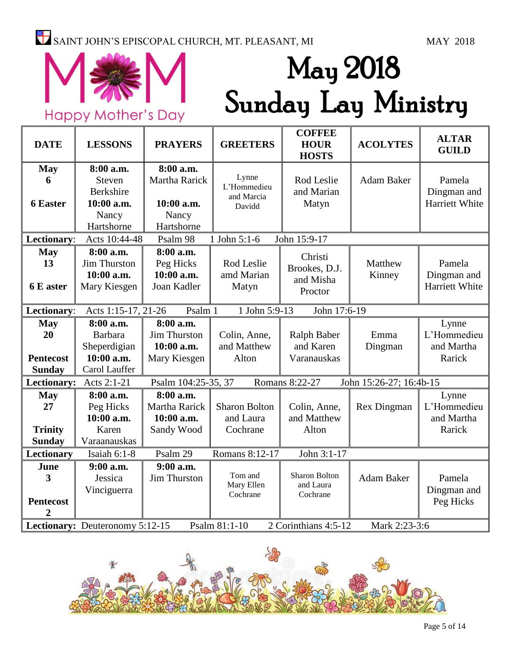## $\sum_{i=1}^{\infty}$  SAINT JOHN'S EPISCOPAL CHURCH, MT. PLEASANT, MI MAY 2018



# May 2018 Sunday Lay Ministry

| <b>DATE</b>      | <b>LESSONS</b>                  | <b>PRAYERS</b>       | <b>GREETERS</b>        | <b>COFFEE</b><br><b>HOUR</b><br><b>HOSTS</b> | <b>ACOLYTES</b>         | <b>ALTAR</b><br><b>GUILD</b> |
|------------------|---------------------------------|----------------------|------------------------|----------------------------------------------|-------------------------|------------------------------|
| <b>May</b>       | 8:00 a.m.                       | 8:00 a.m.            |                        |                                              |                         |                              |
| 6                | <b>Steven</b>                   | Martha Rarick        | Lynne<br>L'Hommedieu   | Rod Leslie                                   | <b>Adam Baker</b>       | Pamela                       |
|                  | <b>Berkshire</b>                |                      | and Marcia             | and Marian                                   |                         | Dingman and                  |
| <b>6 Easter</b>  | 10:00 a.m.                      | 10:00 a.m.           | Davidd                 | Matyn                                        |                         | Harriett White               |
|                  | Nancy                           | Nancy                |                        |                                              |                         |                              |
|                  | Hartshorne                      | Hartshorne           |                        |                                              |                         |                              |
| Lectionary:      | Acts 10:44-48                   | Psalm 98             | 1 John 5:1-6           | John 15:9-17                                 |                         |                              |
| <b>May</b>       | 8:00 a.m.                       | 8:00 a.m.            |                        | Christi                                      |                         |                              |
| 13               | Jim Thurston                    | Peg Hicks            | Rod Leslie             | Brookes, D.J.                                | Matthew                 | Pamela                       |
|                  | 10:00 a.m.                      | 10:00 a.m.           | amd Marian             | and Misha                                    | Kinney                  | Dingman and                  |
| 6 E aster        | Mary Kiesgen                    | Joan Kadler          | Matyn                  | Proctor                                      |                         | Harriett White               |
| Lectionary:      | Acts 1:15-17, 21-26             | Psalm 1              | 1 John 5:9-13          | John 17:6-19                                 |                         |                              |
| <b>May</b>       | 8:00 a.m.                       | 8:00 a.m.            |                        |                                              |                         | Lynne                        |
| 20               | <b>Barbara</b>                  | <b>Jim Thurston</b>  | Colin, Anne,           | Ralph Baber                                  | Emma                    | L'Hommedieu                  |
|                  | Sheperdigian                    | 10:00 a.m.           | and Matthew            | and Karen                                    | Dingman                 | and Martha                   |
| <b>Pentecost</b> | 10:00 a.m.                      | Mary Kiesgen         | Alton                  | Varanauskas                                  |                         | Rarick                       |
| <b>Sunday</b>    | Carol Lauffer                   |                      |                        |                                              |                         |                              |
| Lectionary:      | Acts 2:1-21                     | Psalm 104:25-35, 37  |                        | Romans 8:22-27                               | John 15:26-27; 16:4b-15 |                              |
| <b>May</b>       | 8:00 a.m.                       | 8:00 a.m.            |                        |                                              |                         | Lynne                        |
| 27               | Peg Hicks                       | <b>Martha Rarick</b> | <b>Sharon Bolton</b>   | Colin, Anne,                                 | <b>Rex Dingman</b>      | L'Hommedieu                  |
|                  | 10:00 a.m.                      | 10:00 a.m.           | and Laura              | and Matthew                                  |                         | and Martha                   |
| <b>Trinity</b>   | Karen                           | Sandy Wood           | Cochrane               | Alton                                        |                         | Rarick                       |
| <b>Sunday</b>    | Varaanauskas                    |                      |                        |                                              |                         |                              |
| Lectionary       | Isaiah 6:1-8                    | Psalm 29             | Romans 8:12-17         | John 3:1-17                                  |                         |                              |
| June             | $9:00$ a.m.                     | $9:00$ a.m.          |                        |                                              |                         |                              |
| 3                | Jessica                         | Jim Thurston         | Tom and                | <b>Sharon Bolton</b>                         | <b>Adam Baker</b>       | Pamela                       |
|                  | Vinciguerra                     |                      | Mary Ellen<br>Cochrane | and Laura<br>Cochrane                        |                         | Dingman and                  |
| <b>Pentecost</b> |                                 |                      |                        |                                              |                         | Peg Hicks                    |
| $\overline{2}$   |                                 |                      |                        |                                              |                         |                              |
|                  | Lectionary: Deuteronomy 5:12-15 |                      | Psalm 81:1-10          | 2 Corinthians 4:5-12                         | Mark 2:23-3:6           |                              |

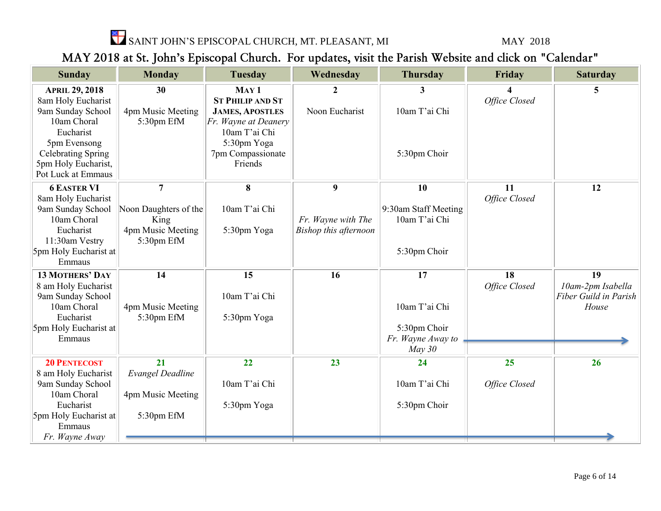$\sum_{i=1}^{\infty}$  SAINT JOHN'S EPISCOPAL CHURCH, MT. PLEASANT, MI MAY 2018

### MAY 2018 at St. John's Episcopal Church. For updates, visit the Parish Website and click on "Calendar"

| <b>Sunday</b>                    | <b>Monday</b>                 | <b>Tuesday</b>                        | Wednesday             | <b>Thursday</b>                       | Friday        | <b>Saturday</b>                            |
|----------------------------------|-------------------------------|---------------------------------------|-----------------------|---------------------------------------|---------------|--------------------------------------------|
|                                  |                               |                                       |                       |                                       |               |                                            |
| <b>APRIL 29, 2018</b>            | 30                            | MAY <sub>1</sub>                      | 2                     | 3                                     |               | 5.                                         |
| 8am Holy Eucharist               |                               | <b>ST PHILIP AND ST</b>               |                       |                                       | Office Closed |                                            |
| 9am Sunday School<br>10am Choral | 4pm Music Meeting             | <b>JAMES, APOSTLES</b>                | Noon Eucharist        | 10am T'ai Chi                         |               |                                            |
| Eucharist                        | 5:30pm EfM                    | Fr. Wayne at Deanery<br>10am T'ai Chi |                       |                                       |               |                                            |
| 5pm Evensong                     |                               | 5:30pm Yoga                           |                       |                                       |               |                                            |
| <b>Celebrating Spring</b>        |                               | 7pm Compassionate                     |                       | 5:30pm Choir                          |               |                                            |
| 5pm Holy Eucharist,              |                               | Friends                               |                       |                                       |               |                                            |
| Pot Luck at Emmaus               |                               |                                       |                       |                                       |               |                                            |
|                                  |                               |                                       |                       |                                       | 11            |                                            |
| <b>6 EASTER VI</b>               | $\overline{7}$                | 8                                     | 9                     | 10                                    | Office Closed | 12                                         |
| 8am Holy Eucharist               |                               | 10am T'ai Chi                         |                       |                                       |               |                                            |
| 9am Sunday School<br>10am Choral | Noon Daughters of the<br>King |                                       | Fr. Wayne with The    | 9:30am Staff Meeting<br>10am T'ai Chi |               |                                            |
| Eucharist                        | 4pm Music Meeting             | 5:30pm Yoga                           | Bishop this afternoon |                                       |               |                                            |
| 11:30am Vestry                   | 5:30pm EfM                    |                                       |                       |                                       |               |                                            |
| 5pm Holy Eucharist at            |                               |                                       |                       | 5:30pm Choir                          |               |                                            |
| Emmaus                           |                               |                                       |                       |                                       |               |                                            |
|                                  |                               |                                       |                       |                                       |               | 19                                         |
| <b>13 MOTHERS' DAY</b>           | 14                            | 15                                    | 16                    | 17                                    | 18            |                                            |
| 8 am Holy Eucharist              |                               | 10am T'ai Chi                         |                       |                                       | Office Closed | 10am-2pm Isabella<br>Fiber Guild in Parish |
| 9am Sunday School<br>10am Choral | 4pm Music Meeting             |                                       |                       | 10am T'ai Chi                         |               | House                                      |
| Eucharist                        | 5:30pm EfM                    | 5:30pm Yoga                           |                       |                                       |               |                                            |
| 5pm Holy Eucharist at            |                               |                                       |                       | 5:30pm Choir                          |               |                                            |
| Emmaus                           |                               |                                       |                       | Fr. Wayne Away to                     |               |                                            |
|                                  |                               |                                       |                       | May 30                                |               |                                            |
|                                  | 21                            | 22                                    | 23                    |                                       | 25            |                                            |
| <b>20 PENTECOST</b>              |                               |                                       |                       | 24                                    |               | 26                                         |
| 8 am Holy Eucharist              | <b>Evangel Deadline</b>       | 10am T'ai Chi                         |                       | 10am T'ai Chi                         |               |                                            |
| 9am Sunday School<br>10am Choral | 4pm Music Meeting             |                                       |                       |                                       | Office Closed |                                            |
| Eucharist                        |                               | 5:30pm Yoga                           |                       | 5:30pm Choir                          |               |                                            |
| 5pm Holy Eucharist at            | 5:30pm EfM                    |                                       |                       |                                       |               |                                            |
| Emmaus                           |                               |                                       |                       |                                       |               |                                            |
| Fr. Wayne Away                   |                               |                                       |                       |                                       |               |                                            |
|                                  |                               |                                       |                       |                                       |               |                                            |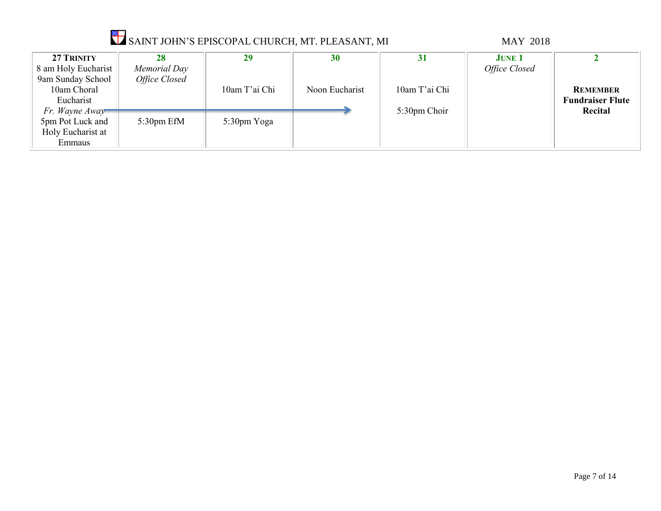|                                                                   |                                     | SAINT JOHN'S EPISCOPAL CHURCH, MT. PLEASANT, MI |                |               | <b>MAY 2018</b>                |                                                       |
|-------------------------------------------------------------------|-------------------------------------|-------------------------------------------------|----------------|---------------|--------------------------------|-------------------------------------------------------|
| 27 TRINITY<br>8 am Holy Eucharist<br>9am Sunday School            | 28<br>Memorial Day<br>Office Closed | 29                                              | 30             | <b>31</b>     | <b>JUNE 1</b><br>Office Closed |                                                       |
| 10am Choral<br>Eucharist                                          |                                     | 10am T'ai Chi                                   | Noon Eucharist | 10am T'ai Chi |                                | <b>REMEMBER</b><br><b>Fundraiser Flute</b><br>Recital |
| Fr. Wayne Away<br>5pm Pot Luck and<br>Holy Eucharist at<br>Emmaus | $5:30$ pm EfM                       | 5:30pm Yoga                                     |                | 5:30pm Choir  |                                |                                                       |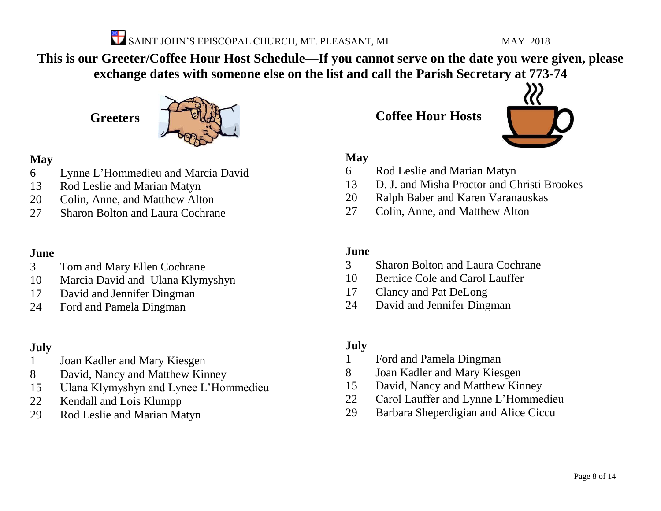

**This is our Greeter/Coffee Hour Host Schedule—If you cannot serve on the date you were given, please exchange dates with someone else on the list and call the Parish Secretary at 773-74**

**Greeters**



### **May**

- Lynne L'Hommedieu and Marcia David
- Rod Leslie and Marian Matyn
- Colin, Anne, and Matthew Alton
- Sharon Bolton and Laura Cochrane

### **June**

- Tom and Mary Ellen Cochrane
- Marcia David and Ulana Klymyshyn
- David and Jennifer Dingman
- Ford and Pamela Dingman

### **July**

- Joan Kadler and Mary Kiesgen
- David, Nancy and Matthew Kinney
- Ulana Klymyshyn and Lynee L'Hommedieu
- Kendall and Lois Klumpp
- Rod Leslie and Marian Matyn

**Coffee Hour Hosts**



### **May**

- Rod Leslie and Marian Matyn
- D. J. and Misha Proctor and Christi Brookes
- Ralph Baber and Karen Varanauskas
- Colin, Anne, and Matthew Alton

### **June**

- Sharon Bolton and Laura Cochrane
- Bernice Cole and Carol Lauffer
- Clancy and Pat DeLong
- David and Jennifer Dingman

### **July**

- Ford and Pamela Dingman
- Joan Kadler and Mary Kiesgen
- David, Nancy and Matthew Kinney
- Carol Lauffer and Lynne L'Hommedieu
- Barbara Sheperdigian and Alice Ciccu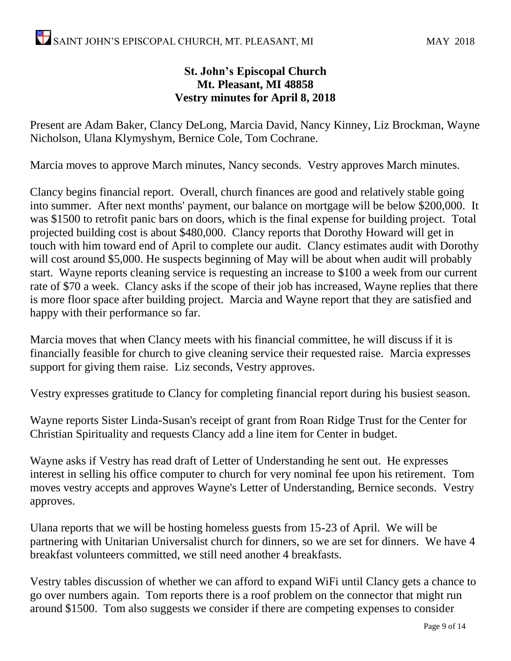### **St. John's Episcopal Church Mt. Pleasant, MI 48858 Vestry minutes for April 8, 2018**

Present are Adam Baker, Clancy DeLong, Marcia David, Nancy Kinney, Liz Brockman, Wayne Nicholson, Ulana Klymyshym, Bernice Cole, Tom Cochrane.

Marcia moves to approve March minutes, Nancy seconds. Vestry approves March minutes.

Clancy begins financial report. Overall, church finances are good and relatively stable going into summer. After next months' payment, our balance on mortgage will be below \$200,000. It was \$1500 to retrofit panic bars on doors, which is the final expense for building project. Total projected building cost is about \$480,000. Clancy reports that Dorothy Howard will get in touch with him toward end of April to complete our audit. Clancy estimates audit with Dorothy will cost around \$5,000. He suspects beginning of May will be about when audit will probably start. Wayne reports cleaning service is requesting an increase to \$100 a week from our current rate of \$70 a week. Clancy asks if the scope of their job has increased, Wayne replies that there is more floor space after building project. Marcia and Wayne report that they are satisfied and happy with their performance so far.

Marcia moves that when Clancy meets with his financial committee, he will discuss if it is financially feasible for church to give cleaning service their requested raise. Marcia expresses support for giving them raise. Liz seconds, Vestry approves.

Vestry expresses gratitude to Clancy for completing financial report during his busiest season.

Wayne reports Sister Linda-Susan's receipt of grant from Roan Ridge Trust for the Center for Christian Spirituality and requests Clancy add a line item for Center in budget.

Wayne asks if Vestry has read draft of Letter of Understanding he sent out. He expresses interest in selling his office computer to church for very nominal fee upon his retirement. Tom moves vestry accepts and approves Wayne's Letter of Understanding, Bernice seconds. Vestry approves.

Ulana reports that we will be hosting homeless guests from 15-23 of April. We will be partnering with Unitarian Universalist church for dinners, so we are set for dinners. We have 4 breakfast volunteers committed, we still need another 4 breakfasts.

Vestry tables discussion of whether we can afford to expand WiFi until Clancy gets a chance to go over numbers again. Tom reports there is a roof problem on the connector that might run around \$1500. Tom also suggests we consider if there are competing expenses to consider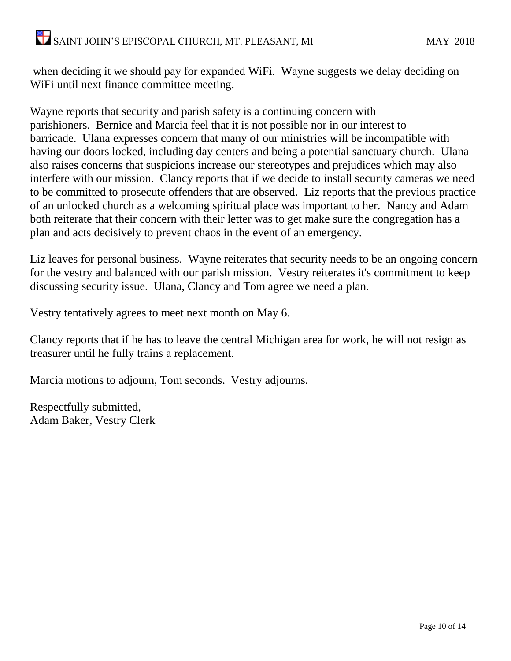when deciding it we should pay for expanded WiFi. Wayne suggests we delay deciding on WiFi until next finance committee meeting.

Wayne reports that security and parish safety is a continuing concern with parishioners. Bernice and Marcia feel that it is not possible nor in our interest to barricade. Ulana expresses concern that many of our ministries will be incompatible with having our doors locked, including day centers and being a potential sanctuary church. Ulana also raises concerns that suspicions increase our stereotypes and prejudices which may also interfere with our mission. Clancy reports that if we decide to install security cameras we need to be committed to prosecute offenders that are observed. Liz reports that the previous practice of an unlocked church as a welcoming spiritual place was important to her. Nancy and Adam both reiterate that their concern with their letter was to get make sure the congregation has a plan and acts decisively to prevent chaos in the event of an emergency.

Liz leaves for personal business. Wayne reiterates that security needs to be an ongoing concern for the vestry and balanced with our parish mission. Vestry reiterates it's commitment to keep discussing security issue. Ulana, Clancy and Tom agree we need a plan.

Vestry tentatively agrees to meet next month on May 6.

Clancy reports that if he has to leave the central Michigan area for work, he will not resign as treasurer until he fully trains a replacement.

Marcia motions to adjourn, Tom seconds. Vestry adjourns.

Respectfully submitted, Adam Baker, Vestry Clerk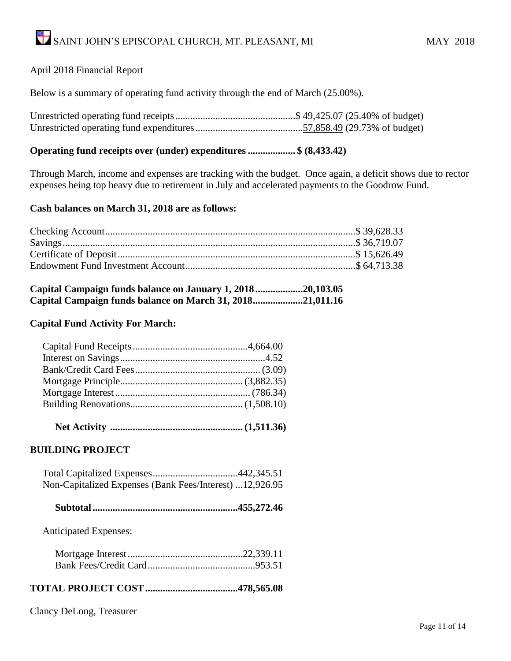### April 2018 Financial Report

Below is a summary of operating fund activity through the end of March (25.00%).

#### **Operating fund receipts over (under) expenditures ................... \$ (8,433.42)**

Through March, income and expenses are tracking with the budget. Once again, a deficit shows due to rector expenses being top heavy due to retirement in July and accelerated payments to the Goodrow Fund.

#### **Cash balances on March 31, 2018 are as follows:**

| Capital Campaign funds balance on January 1, 201820,103.05 |  |
|------------------------------------------------------------|--|
| Capital Campaign funds balance on March 31, 201821,011.16  |  |

#### **Capital Fund Activity For March:**

 **Net Activity ..................................................... (1,511.36)**

### **BUILDING PROJECT**

| Non-Capitalized Expenses (Bank Fees/Interest) 12,926.95 |  |
|---------------------------------------------------------|--|

|--|--|--|--|

Anticipated Expenses:

### **TOTAL PROJECT COST.....................................478,565.08**

Clancy DeLong, Treasurer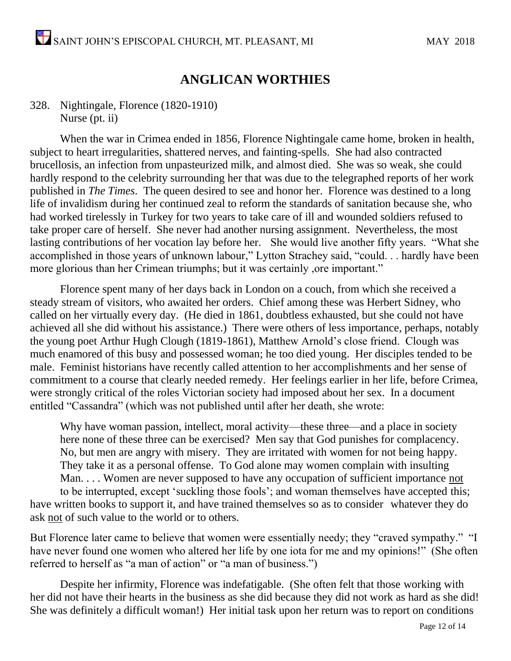### **ANGLICAN WORTHIES**

### 328. Nightingale, Florence (1820-1910) Nurse (pt. ii)

When the war in Crimea ended in 1856, Florence Nightingale came home, broken in health, subject to heart irregularities, shattered nerves, and fainting-spells. She had also contracted brucellosis, an infection from unpasteurized milk, and almost died. She was so weak, she could hardly respond to the celebrity surrounding her that was due to the telegraphed reports of her work published in *The Times*. The queen desired to see and honor her. Florence was destined to a long life of invalidism during her continued zeal to reform the standards of sanitation because she, who had worked tirelessly in Turkey for two years to take care of ill and wounded soldiers refused to take proper care of herself. She never had another nursing assignment. Nevertheless, the most lasting contributions of her vocation lay before her. She would live another fifty years. "What she accomplished in those years of unknown labour," Lytton Strachey said, "could. . . hardly have been more glorious than her Crimean triumphs; but it was certainly ,ore important."

Florence spent many of her days back in London on a couch, from which she received a steady stream of visitors, who awaited her orders. Chief among these was Herbert Sidney, who called on her virtually every day. (He died in 1861, doubtless exhausted, but she could not have achieved all she did without his assistance.) There were others of less importance, perhaps, notably the young poet Arthur Hugh Clough (1819-1861), Matthew Arnold's close friend. Clough was much enamored of this busy and possessed woman; he too died young. Her disciples tended to be male. Feminist historians have recently called attention to her accomplishments and her sense of commitment to a course that clearly needed remedy. Her feelings earlier in her life, before Crimea, were strongly critical of the roles Victorian society had imposed about her sex. In a document entitled "Cassandra" (which was not published until after her death, she wrote:

Why have woman passion, intellect, moral activity—these three—and a place in society here none of these three can be exercised? Men say that God punishes for complacency. No, but men are angry with misery. They are irritated with women for not being happy. They take it as a personal offense. To God alone may women complain with insulting Man. . . . Women are never supposed to have any occupation of sufficient importance not to be interrupted, except 'suckling those fools'; and woman themselves have accepted this; have written books to support it, and have trained themselves so as to consider whatever they do ask not of such value to the world or to others.

But Florence later came to believe that women were essentially needy; they "craved sympathy." "I have never found one women who altered her life by one iota for me and my opinions!" (She often referred to herself as "a man of action" or "a man of business.")

Despite her infirmity, Florence was indefatigable. (She often felt that those working with her did not have their hearts in the business as she did because they did not work as hard as she did! She was definitely a difficult woman!) Her initial task upon her return was to report on conditions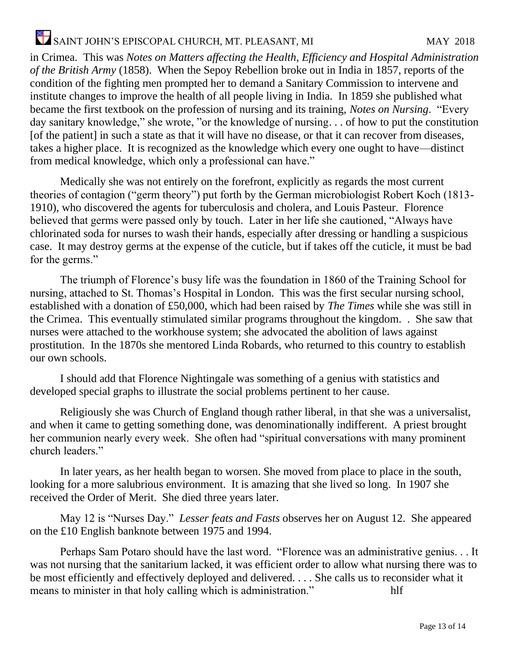in Crimea. This was *Notes on Matters affecting the Health, Efficiency and Hospital Administration of the British Army* (1858). When the Sepoy Rebellion broke out in India in 1857, reports of the condition of the fighting men prompted her to demand a Sanitary Commission to intervene and institute changes to improve the health of all people living in India. In 1859 she published what became the first textbook on the profession of nursing and its training, *Notes on Nursing*. "Every day sanitary knowledge," she wrote, "or the knowledge of nursing. . . of how to put the constitution [of the patient] in such a state as that it will have no disease, or that it can recover from diseases, takes a higher place. It is recognized as the knowledge which every one ought to have—distinct from medical knowledge, which only a professional can have."

Medically she was not entirely on the forefront, explicitly as regards the most current theories of contagion ("germ theory") put forth by the German microbiologist Robert Koch (1813- 1910), who discovered the agents for tuberculosis and cholera, and Louis Pasteur. Florence believed that germs were passed only by touch. Later in her life she cautioned, "Always have chlorinated soda for nurses to wash their hands, especially after dressing or handling a suspicious case. It may destroy germs at the expense of the cuticle, but if takes off the cuticle, it must be bad for the germs."

The triumph of Florence's busy life was the foundation in 1860 of the Training School for nursing, attached to St. Thomas's Hospital in London. This was the first secular nursing school, established with a donation of £50,000, which had been raised by *The Times* while she was still in the Crimea. This eventually stimulated similar programs throughout the kingdom. . She saw that nurses were attached to the workhouse system; she advocated the abolition of laws against prostitution. In the 1870s she mentored Linda Robards, who returned to this country to establish our own schools.

I should add that Florence Nightingale was something of a genius with statistics and developed special graphs to illustrate the social problems pertinent to her cause.

Religiously she was Church of England though rather liberal, in that she was a universalist, and when it came to getting something done, was denominationally indifferent. A priest brought her communion nearly every week. She often had "spiritual conversations with many prominent church leaders."

In later years, as her health began to worsen. She moved from place to place in the south, looking for a more salubrious environment. It is amazing that she lived so long. In 1907 she received the Order of Merit. She died three years later.

May 12 is "Nurses Day." *Lesser feats and Fasts* observes her on August 12. She appeared on the £10 English banknote between 1975 and 1994.

Perhaps Sam Potaro should have the last word. "Florence was an administrative genius. . . It was not nursing that the sanitarium lacked, it was efficient order to allow what nursing there was to be most efficiently and effectively deployed and delivered. . . . She calls us to reconsider what it means to minister in that holy calling which is administration." hlf